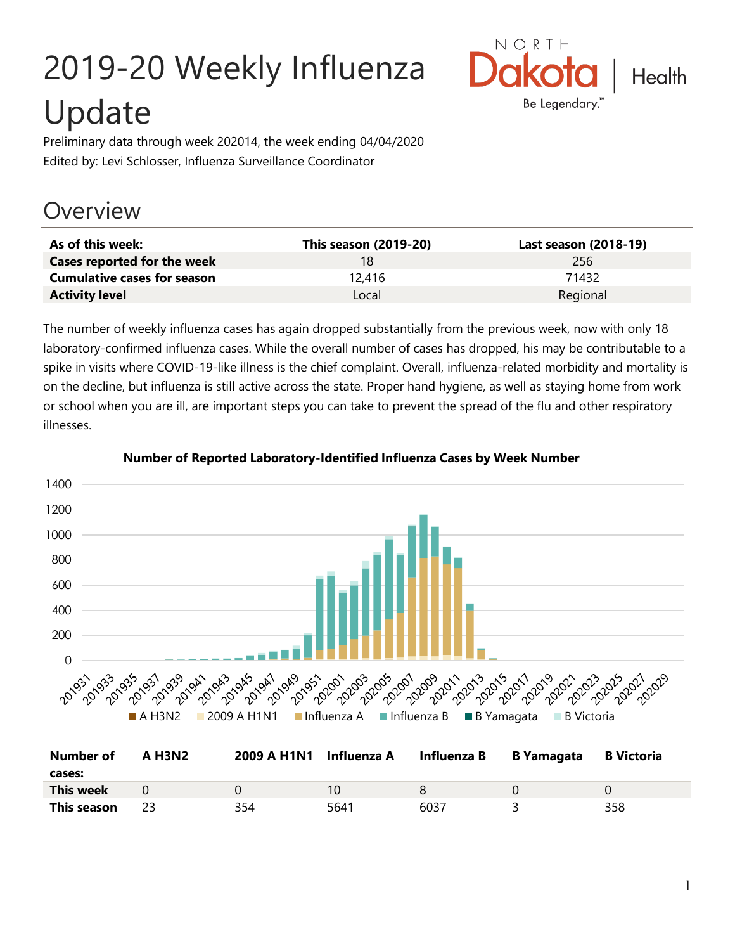# 2019-20 Weekly Influenza Update



Preliminary data through week 202014, the week ending 04/04/2020 Edited by: Levi Schlosser, Influenza Surveillance Coordinator

## **Overview**

| As of this week:                   | <b>This season (2019-20)</b> | Last season (2018-19) |
|------------------------------------|------------------------------|-----------------------|
| Cases reported for the week        | 18                           | 256                   |
| <b>Cumulative cases for season</b> | 12.416                       | 71432                 |
| <b>Activity level</b>              | Local                        | Regional              |

The number of weekly influenza cases has again dropped substantially from the previous week, now with only 18 laboratory-confirmed influenza cases. While the overall number of cases has dropped, his may be contributable to a spike in visits where COVID-19-like illness is the chief complaint. Overall, influenza-related morbidity and mortality is on the decline, but influenza is still active across the state. Proper hand hygiene, as well as staying home from work or school when you are ill, are important steps you can take to prevent the spread of the flu and other respiratory illnesses.



#### **Number of Reported Laboratory-Identified Influenza Cases by Week Number**

| Number of<br>cases: | <b>A H3N2</b> | 2009 A H1N1 Influenza A |      | Influenza B | B Yamagata | <b>B</b> Victoria |
|---------------------|---------------|-------------------------|------|-------------|------------|-------------------|
| This week           |               |                         | 10   |             |            |                   |
| This season         |               | 354                     | 5641 | 6037        |            | 358               |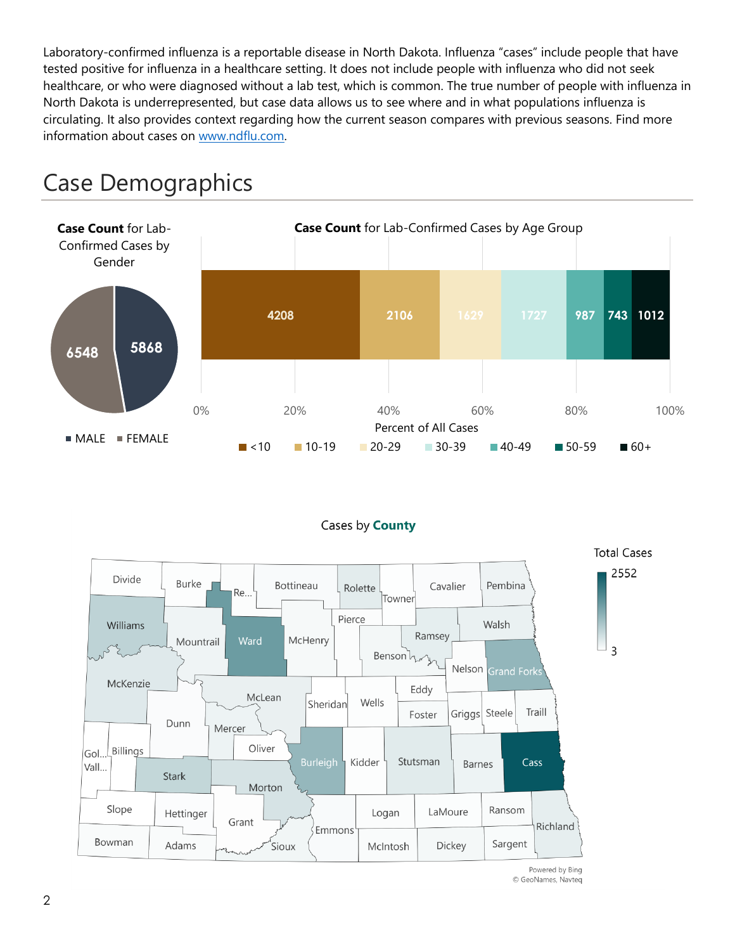Laboratory-confirmed influenza is a reportable disease in North Dakota. Influenza "cases" include people that have tested positive for influenza in a healthcare setting. It does not include people with influenza who did not seek healthcare, or who were diagnosed without a lab test, which is common. The true number of people with influenza in North Dakota is underrepresented, but case data allows us to see where and in what populations influenza is circulating. It also provides context regarding how the current season compares with previous seasons. Find more information about cases on [www.ndflu.com.](file://///nd.gov/doh/DOH-DATA/MSS/DC/PROGRAM/IMMUNE/Immunize/Influenza/Inf18-19/Surveillance/Weekly%20Summaries/www.ndflu.com)







Powered by Bing © GeoNames, Navteq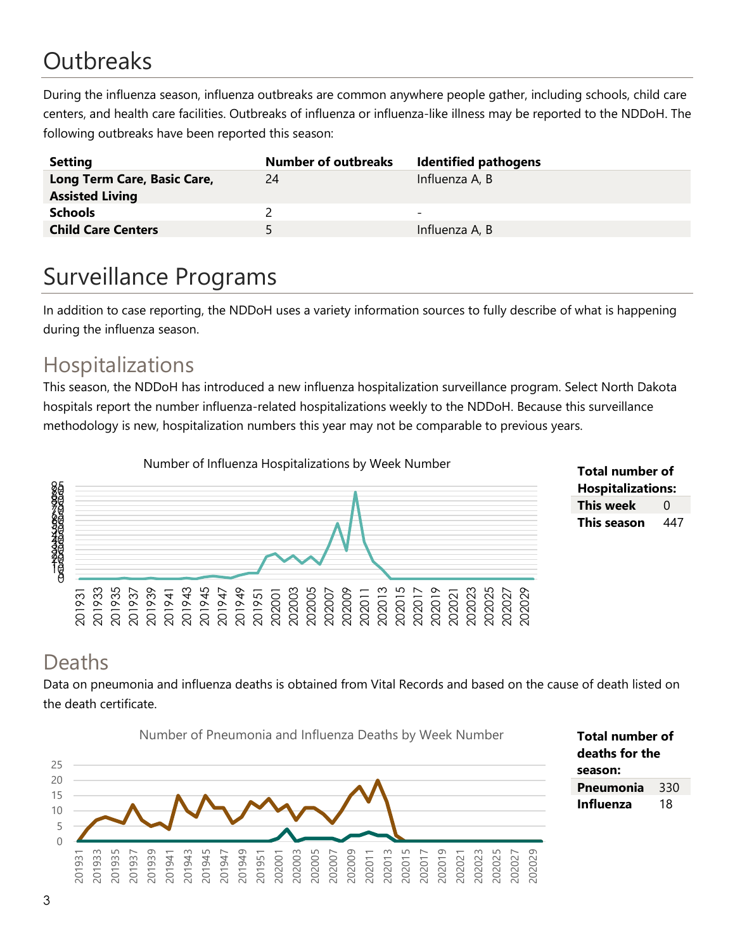# **Outbreaks**

During the influenza season, influenza outbreaks are common anywhere people gather, including schools, child care centers, and health care facilities. Outbreaks of influenza or influenza-like illness may be reported to the NDDoH. The following outbreaks have been reported this season:

| <b>Setting</b>                                        | <b>Number of outbreaks</b> | <b>Identified pathogens</b> |
|-------------------------------------------------------|----------------------------|-----------------------------|
| Long Term Care, Basic Care,<br><b>Assisted Living</b> | 24                         | Influenza A, B              |
| <b>Schools</b>                                        |                            | -                           |
| <b>Child Care Centers</b>                             | 5.                         | Influenza A, B              |

# Surveillance Programs

In addition to case reporting, the NDDoH uses a variety information sources to fully describe of what is happening during the influenza season.

#### Hospitalizations

This season, the NDDoH has introduced a new influenza hospitalization surveillance program. Select North Dakota hospitals report the number influenza-related hospitalizations weekly to the NDDoH. Because this surveillance methodology is new, hospitalization numbers this year may not be comparable to previous years.





#### Deaths

Data on pneumonia and influenza deaths is obtained from Vital Records and based on the cause of death listed on the death certificate.

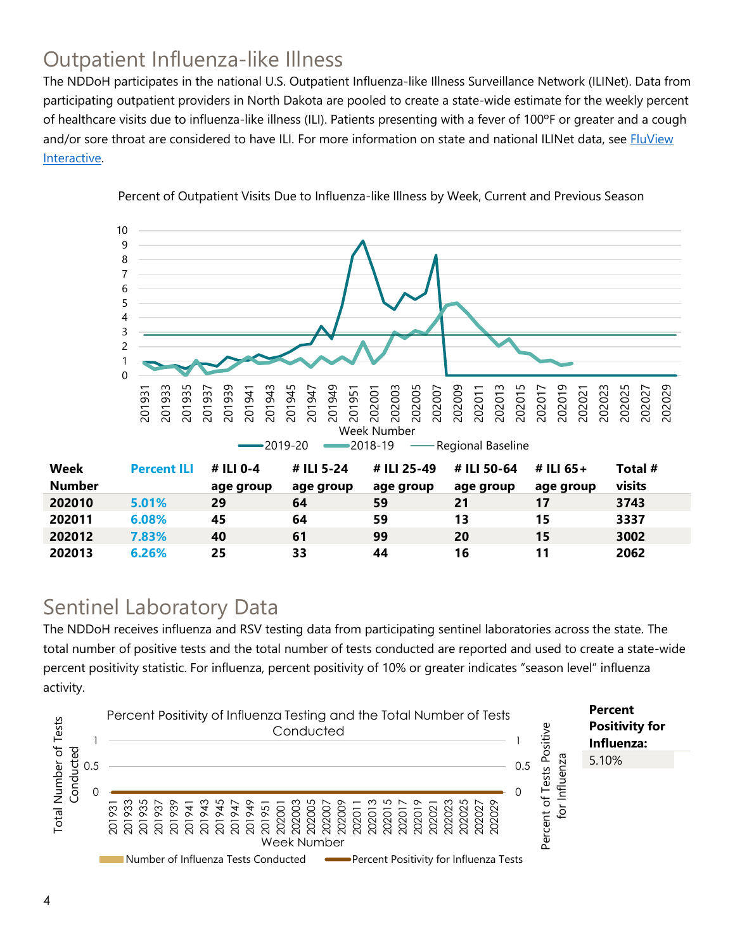### Outpatient Influenza-like Illness

The NDDoH participates in the national U.S. Outpatient Influenza-like Illness Surveillance Network (ILINet). Data from participating outpatient providers in North Dakota are pooled to create a state-wide estimate for the weekly percent of healthcare visits due to influenza-like illness (ILI). Patients presenting with a fever of 100ºF or greater and a cough and/or sore throat are considered to have ILI. For more information on state and national ILINet data, see **FluView** [Interactive.](https://gis.cdc.gov/grasp/fluview/fluportaldashboard.html)



Percent of Outpatient Visits Due to Influenza-like Illness by Week, Current and Previous Season

#### Sentinel Laboratory Data

The NDDoH receives influenza and RSV testing data from participating sentinel laboratories across the state. The total number of positive tests and the total number of tests conducted are reported and used to create a state-wide percent positivity statistic. For influenza, percent positivity of 10% or greater indicates "season level" influenza activity.

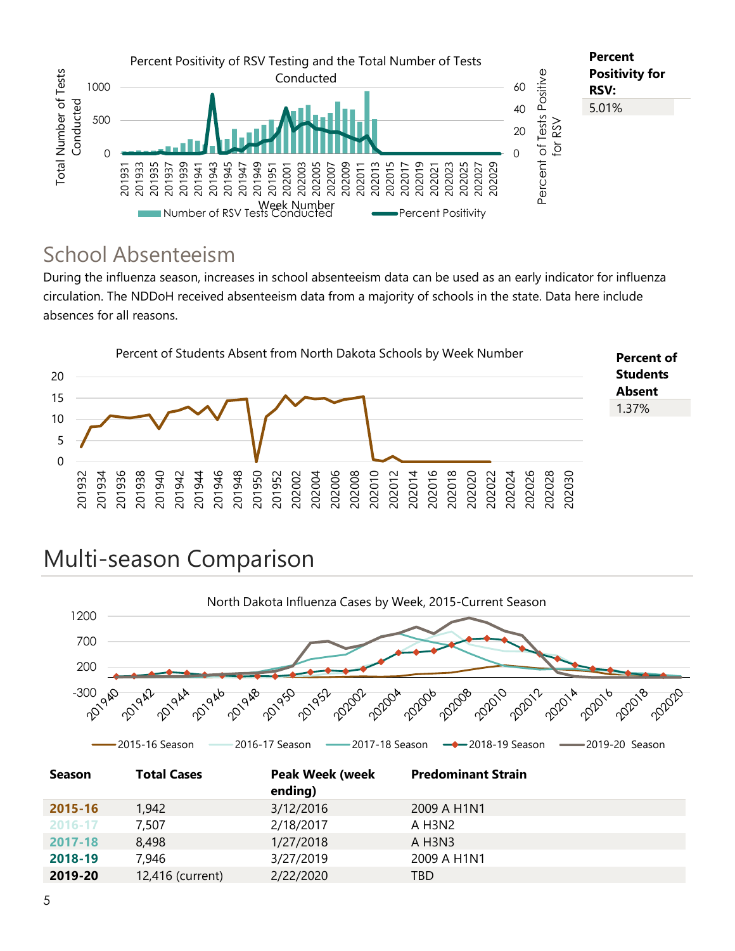

#### School Absenteeism

During the influenza season, increases in school absenteeism data can be used as an early indicator for influenza circulation. The NDDoH received absenteeism data from a majority of schools in the state. Data here include absences for all reasons.



# Multi-season Comparison